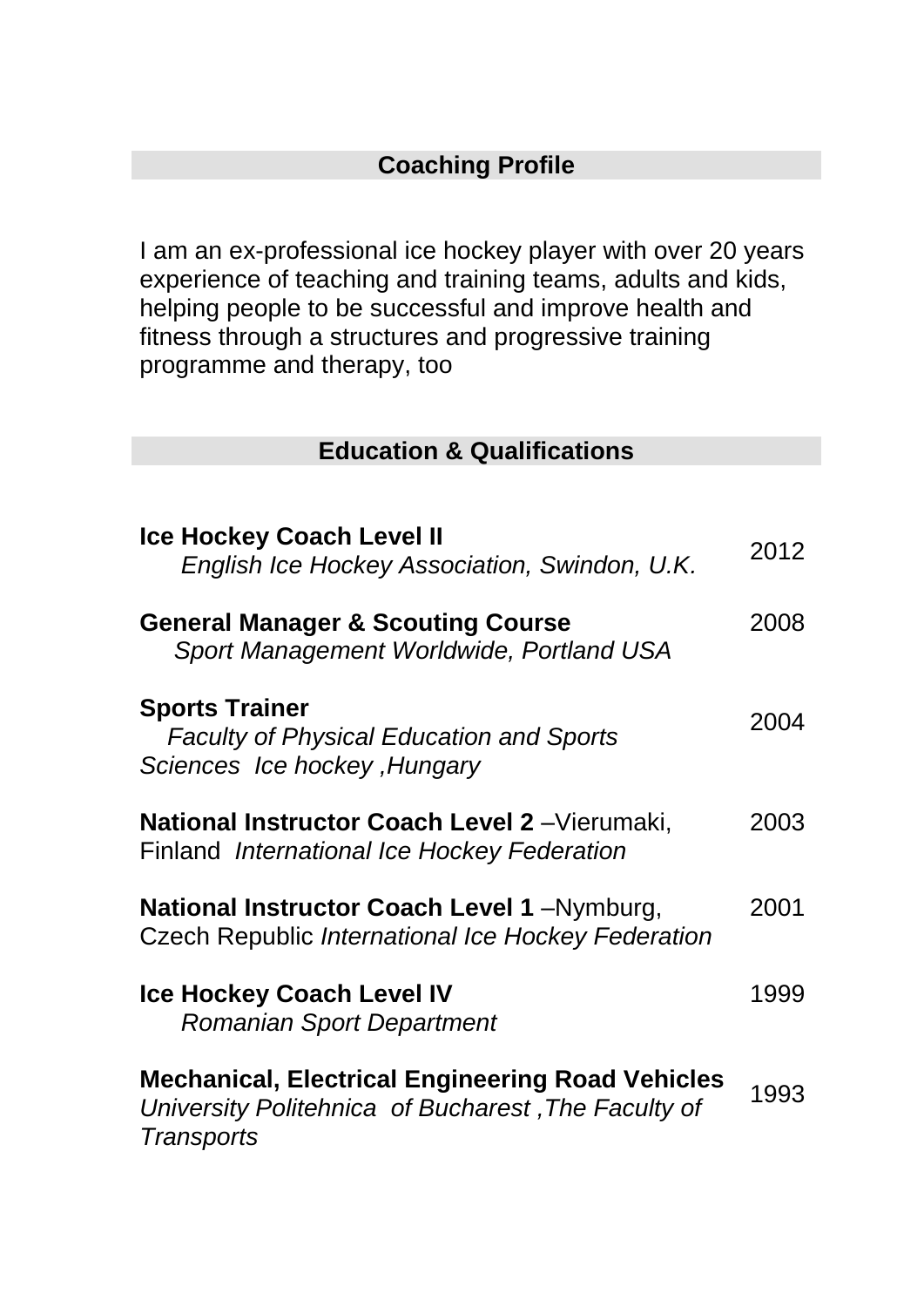## **Coaching Profile**

I am an ex-professional ice hockey player with over 20 years experience of teaching and training teams, adults and kids, helping people to be successful and improve health and fitness through a structures and progressive training programme and therapy, too

#### **Education & Qualifications**

| <b>Ice Hockey Coach Level II</b><br>English Ice Hockey Association, Swindon, U.K.                                                   | 2012 |
|-------------------------------------------------------------------------------------------------------------------------------------|------|
| <b>General Manager &amp; Scouting Course</b><br>Sport Management Worldwide, Portland USA                                            | 2008 |
| <b>Sports Trainer</b><br><b>Faculty of Physical Education and Sports</b><br>Sciences Ice hockey, Hungary                            | 2004 |
| National Instructor Coach Level 2 - Vierumaki,<br>Finland International Ice Hockey Federation                                       | 2003 |
| National Instructor Coach Level 1 - Nymburg,<br>Czech Republic International Ice Hockey Federation                                  | 2001 |
| <b>Ice Hockey Coach Level IV</b><br><b>Romanian Sport Department</b>                                                                | 1999 |
| <b>Mechanical, Electrical Engineering Road Vehicles</b><br>University Politehnica of Bucharest, The Faculty of<br><b>Transports</b> | 1993 |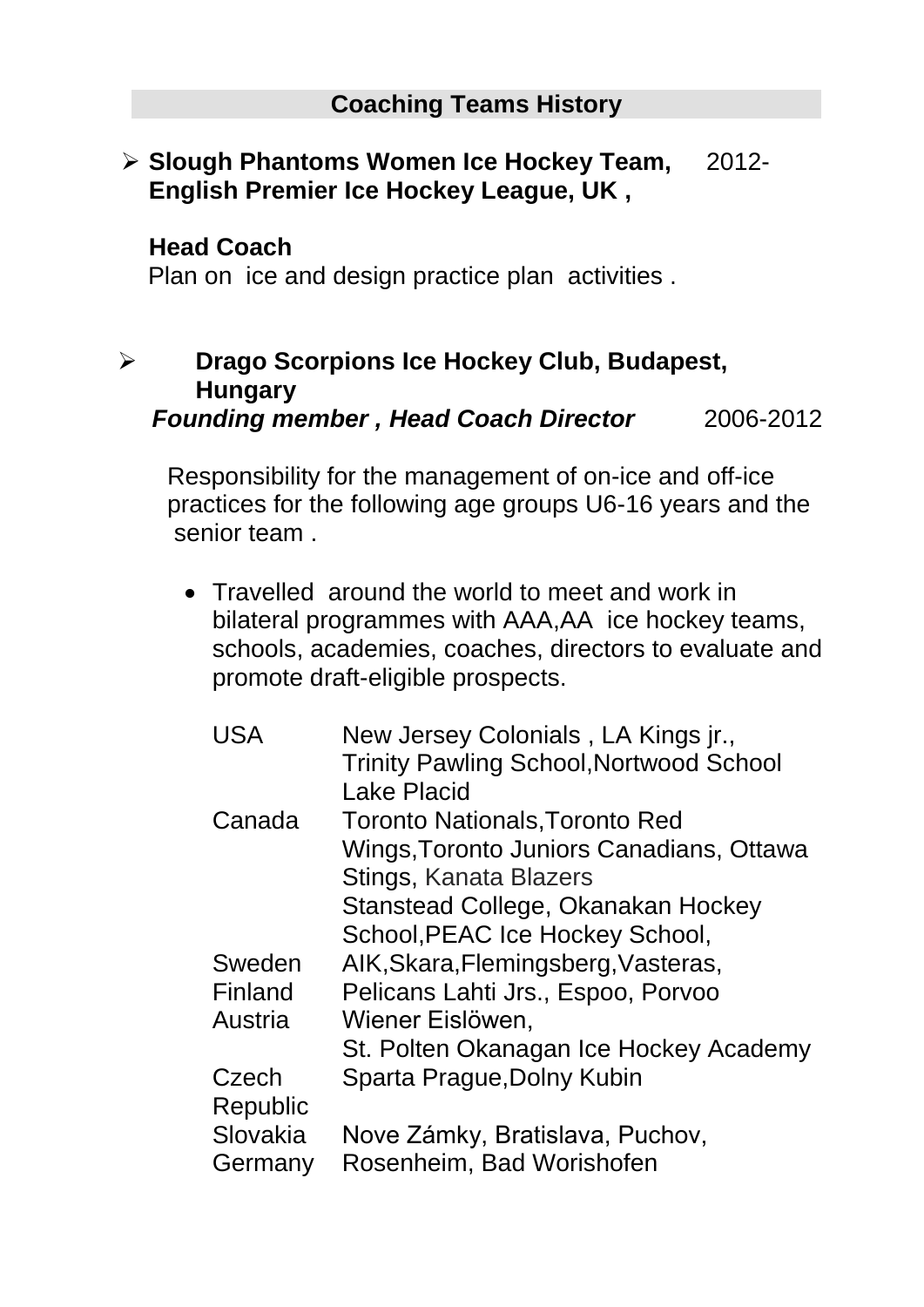#### **Slough Phantoms Women Ice Hockey Team, English Premier Ice Hockey League, UK ,**  2012-

#### **Head Coach**

Plan on ice and design practice plan activities .

# **Drago Scorpions Ice Hockey Club, Budapest, Hungary**

*Founding member , Head Coach Director*2006-2012

 Responsibility for the management of on-ice and off-ice practices for the following age groups U6-16 years and the senior team .

 Travelled around the world to meet and work in bilateral programmes with AAA,AA ice hockey teams, schools, academies, coaches, directors to evaluate and promote draft-eligible prospects.

| <b>USA</b> | New Jersey Colonials, LA Kings jr.,<br><b>Trinity Pawling School, Nortwood School</b> |
|------------|---------------------------------------------------------------------------------------|
|            | <b>Lake Placid</b>                                                                    |
| Canada     | <b>Toronto Nationals, Toronto Red</b>                                                 |
|            | Wings, Toronto Juniors Canadians, Ottawa                                              |
|            | Stings, Kanata Blazers                                                                |
|            | Stanstead College, Okanakan Hockey                                                    |
|            | School, PEAC Ice Hockey School,                                                       |
| Sweden     | AIK, Skara, Flemingsberg, Vasteras,                                                   |
| Finland    | Pelicans Lahti Jrs., Espoo, Porvoo                                                    |
| Austria    | Wiener Eislöwen,                                                                      |
|            | St. Polten Okanagan Ice Hockey Academy                                                |
| Czech      | Sparta Prague, Dolny Kubin                                                            |
| Republic   |                                                                                       |
| Slovakia   | Nove Zámky, Bratislava, Puchov,                                                       |
| Germany    | Rosenheim, Bad Worishofen                                                             |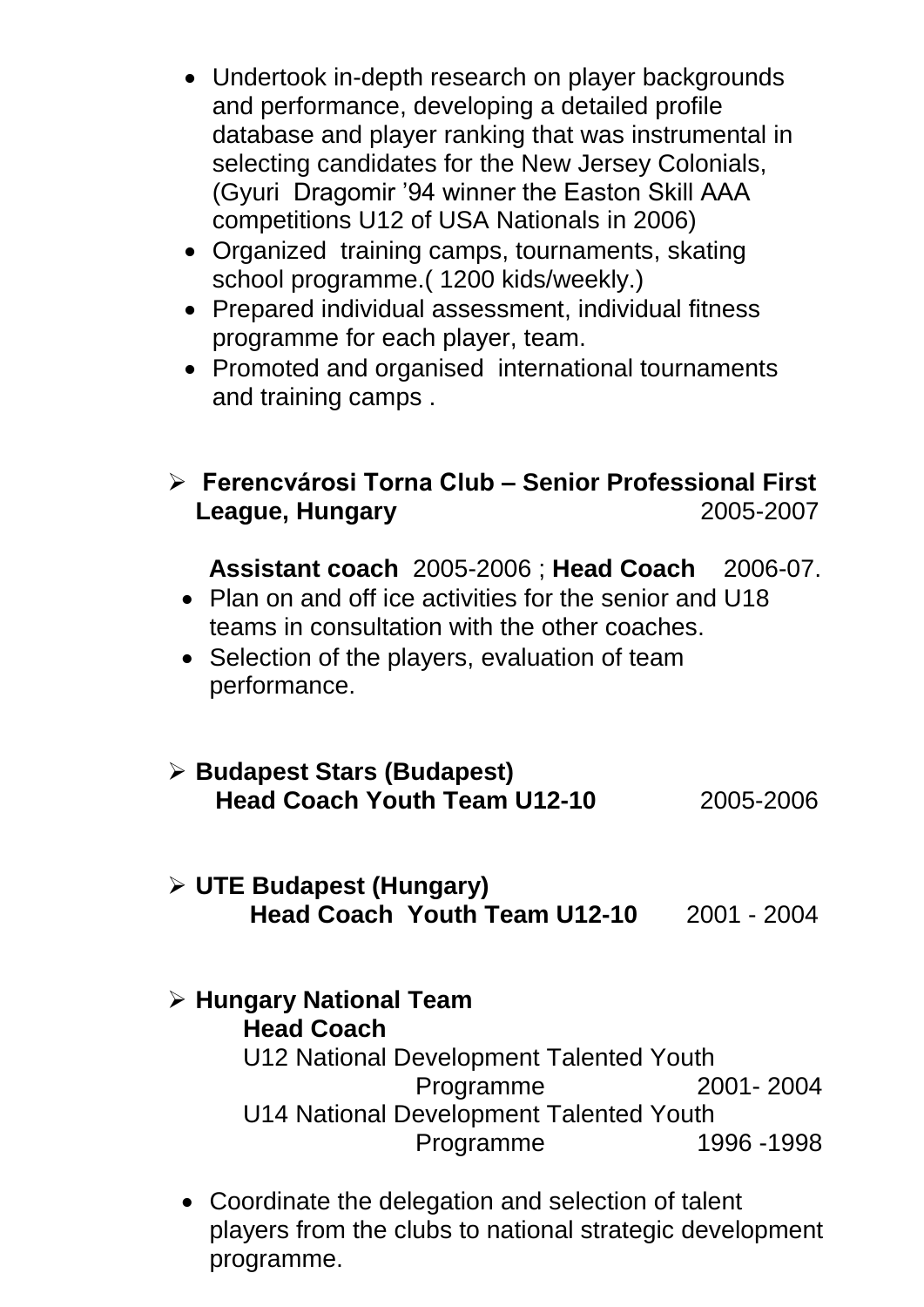- Undertook in-depth research on player backgrounds and performance, developing a detailed profile database and player ranking that was instrumental in selecting candidates for the New Jersey Colonials, (Gyuri Dragomir '94 winner the Easton Skill AAA competitions U12 of USA Nationals in 2006)
- Organized training camps, tournaments, skating school programme.( 1200 kids/weekly.)
- Prepared individual assessment, individual fitness programme for each player, team.
- Promoted and organised international tournaments and training camps .

## **Ferencvárosi Torna Club – Senior Professional First League, Hungary** 2005-2007

 **Assistant coach** 2005-2006 ; **Head Coach** 2006-07.

- Plan on and off ice activities for the senior and U18 teams in consultation with the other coaches.
- Selection of the players, evaluation of team performance.

| $\triangleright$ Budapest Stars (Budapest)<br><b>Head Coach Youth Team U12-10</b> | 2005-2006 |
|-----------------------------------------------------------------------------------|-----------|
|                                                                                   |           |

#### **UTE Budapest (Hungary) Head Coach Youth Team U12-10** 2001 - 2004

- **Hungary National Team Head Coach** U12 National Development Talented Youth Programme 2001- 2004 U14 National Development Talented Youth Programme 1996 -1998
	- Coordinate the delegation and selection of talent players from the clubs to national strategic development programme.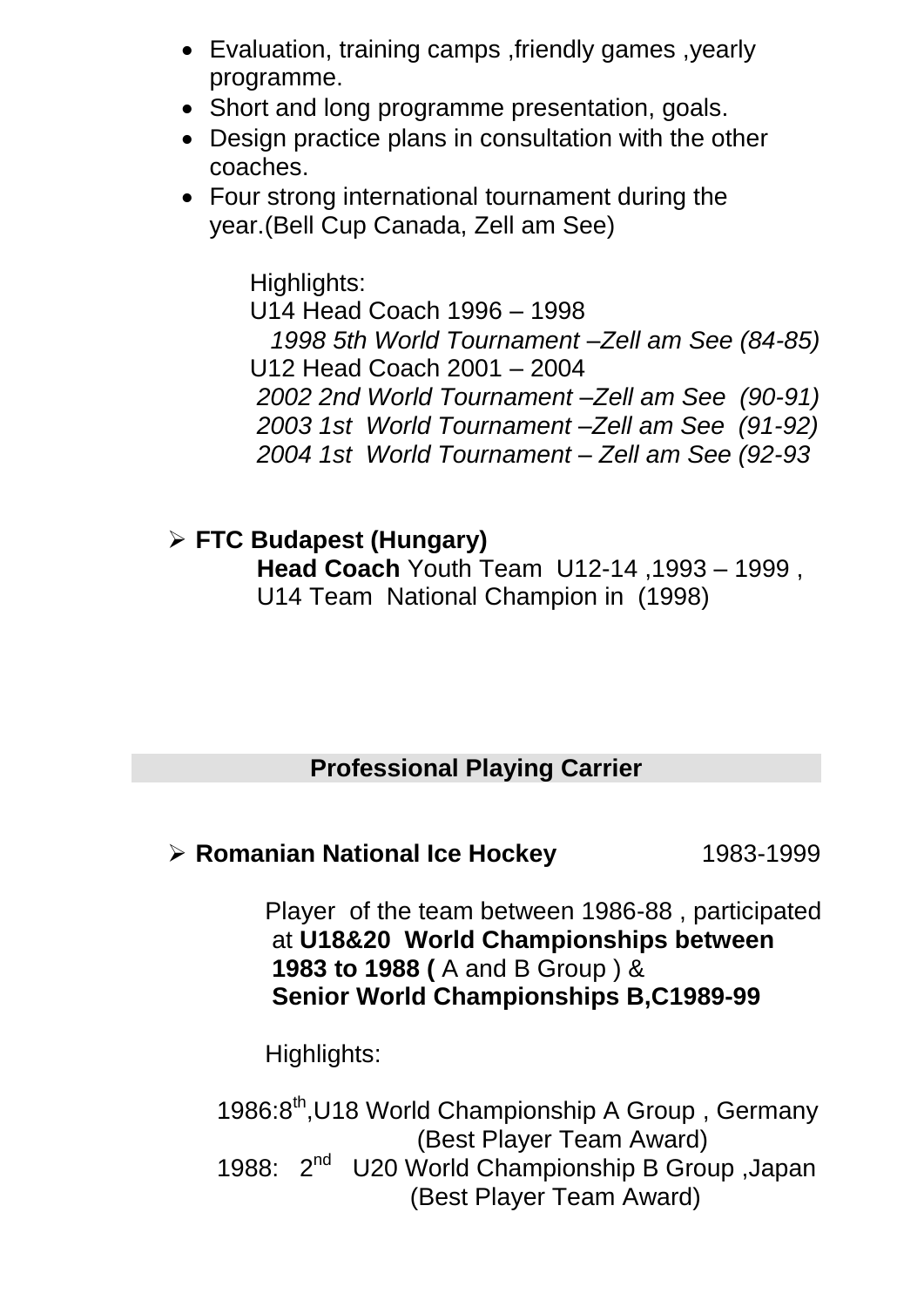- Evaluation, training camps ,friendly games ,yearly programme.
- Short and long programme presentation, goals.
- Design practice plans in consultation with the other coaches.
- Four strong international tournament during the year.(Bell Cup Canada, Zell am See)

 Highlights: U14 Head Coach 1996 – 1998  *1998 5th World Tournament –Zell am See (84-85)* U12 Head Coach 2001 – 2004  *2002 2nd World Tournament –Zell am See (90-91) 2003 1st World Tournament –Zell am See (91-92) 2004 1st World Tournament – Zell am See (92-93*

 **FTC Budapest (Hungary) Head Coach** Youth Team U12-14 ,1993 – 1999 , U14 Team National Champion in (1998)

### **Professional Playing Carrier**

**EXP** Romanian National Ice Hockey 1983-1999

 Player of the team between 1986-88 , participated at **U18&20 World Championships between 1983 to 1988 (** A and B Group ) & **Senior World Championships B,C1989-99** 

Highlights:

1986:8<sup>th</sup>,U18 World Championship A Group, Germany (Best Player Team Award) 1988: 2<sup>nd</sup> U20 World Championship B Group , Japan (Best Player Team Award)